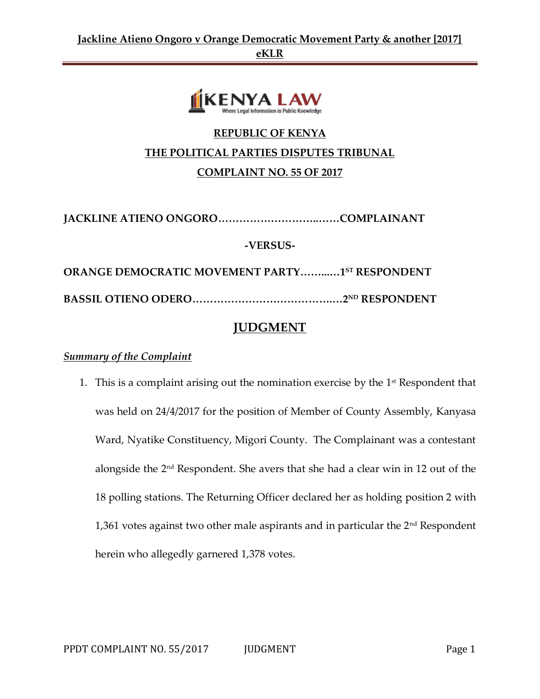

# **REPUBLIC OF KENYA THE POLITICAL PARTIES DISPUTES TRIBUNAL COMPLAINT NO. 55 OF 2017**

**JACKLINE ATIENO ONGORO………………………..……COMPLAINANT**

**-VERSUS-**

**ORANGE DEMOCRATIC MOVEMENT PARTY……...…1ST RESPONDENT BASSIL OTIENO ODERO………………………………….…2ND RESPONDENT**

# **JUDGMENT**

# *Summary of the Complaint*

1. This is a complaint arising out the nomination exercise by the  $1<sup>st</sup>$  Respondent that was held on 24/4/2017 for the position of Member of County Assembly, Kanyasa Ward, Nyatike Constituency, Migori County. The Complainant was a contestant alongside the 2nd Respondent. She avers that she had a clear win in 12 out of the 18 polling stations. The Returning Officer declared her as holding position 2 with 1,361 votes against two other male aspirants and in particular the  $2<sup>nd</sup>$  Respondent herein who allegedly garnered 1,378 votes.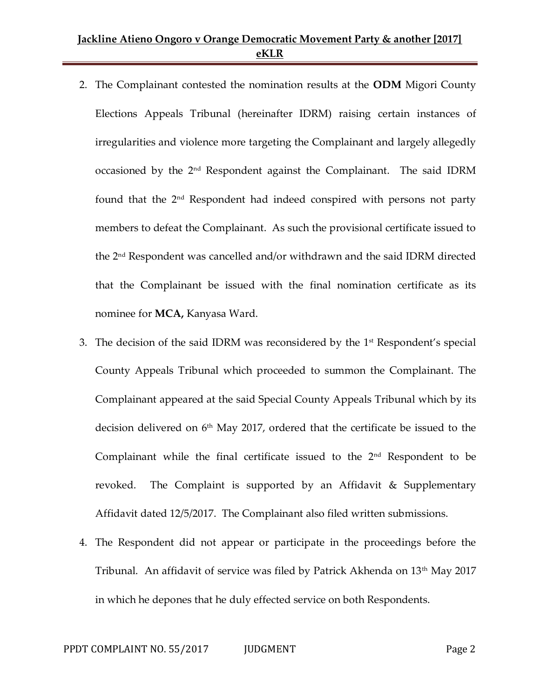- 2. The Complainant contested the nomination results at the **ODM** Migori County Elections Appeals Tribunal (hereinafter IDRM) raising certain instances of irregularities and violence more targeting the Complainant and largely allegedly occasioned by the 2nd Respondent against the Complainant. The said IDRM found that the 2nd Respondent had indeed conspired with persons not party members to defeat the Complainant. As such the provisional certificate issued to the 2nd Respondent was cancelled and/or withdrawn and the said IDRM directed that the Complainant be issued with the final nomination certificate as its nominee for **MCA,** Kanyasa Ward.
- 3. The decision of the said IDRM was reconsidered by the  $1<sup>st</sup>$  Respondent's special County Appeals Tribunal which proceeded to summon the Complainant. The Complainant appeared at the said Special County Appeals Tribunal which by its decision delivered on 6<sup>th</sup> May 2017, ordered that the certificate be issued to the Complainant while the final certificate issued to the  $2<sup>nd</sup>$  Respondent to be revoked. The Complaint is supported by an Affidavit & Supplementary Affidavit dated 12/5/2017. The Complainant also filed written submissions.
- 4. The Respondent did not appear or participate in the proceedings before the Tribunal. An affidavit of service was filed by Patrick Akhenda on 13<sup>th</sup> May 2017 in which he depones that he duly effected service on both Respondents.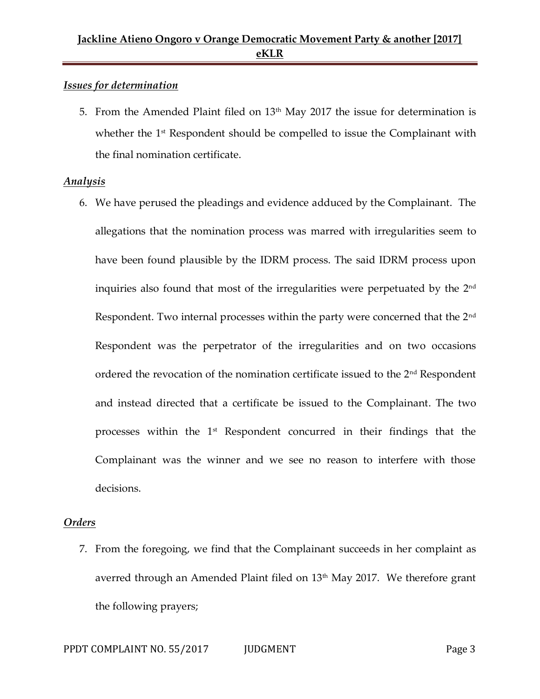#### *Issues for determination*

5. From the Amended Plaint filed on  $13<sup>th</sup>$  May 2017 the issue for determination is whether the 1<sup>st</sup> Respondent should be compelled to issue the Complainant with the final nomination certificate.

#### *Analysis*

6. We have perused the pleadings and evidence adduced by the Complainant. The allegations that the nomination process was marred with irregularities seem to have been found plausible by the IDRM process. The said IDRM process upon inquiries also found that most of the irregularities were perpetuated by the 2<sup>nd</sup> Respondent. Two internal processes within the party were concerned that the 2<sup>nd</sup> Respondent was the perpetrator of the irregularities and on two occasions ordered the revocation of the nomination certificate issued to the  $2<sup>nd</sup>$  Respondent and instead directed that a certificate be issued to the Complainant. The two processes within the 1<sup>st</sup> Respondent concurred in their findings that the Complainant was the winner and we see no reason to interfere with those decisions.

# *Orders*

7. From the foregoing, we find that the Complainant succeeds in her complaint as averred through an Amended Plaint filed on 13<sup>th</sup> May 2017. We therefore grant the following prayers;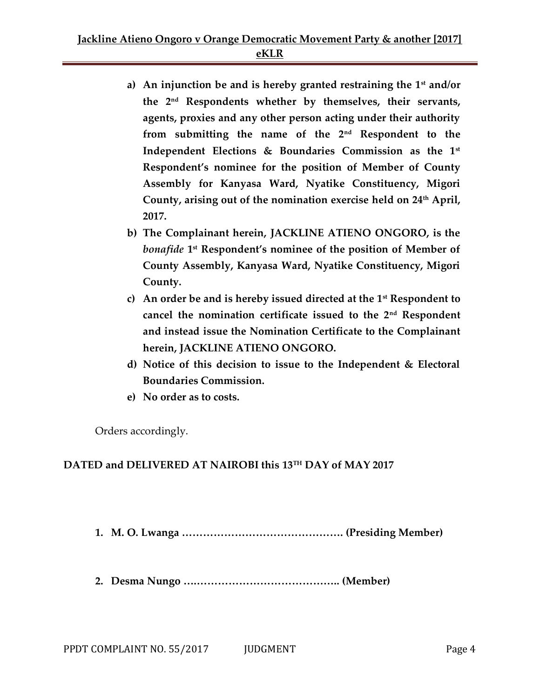- **a) An injunction be and is hereby granted restraining the 1st and/or the 2nd Respondents whether by themselves, their servants, agents, proxies and any other person acting under their authority from submitting the name of the 2nd Respondent to the Independent Elections & Boundaries Commission as the 1st Respondent's nominee for the position of Member of County Assembly for Kanyasa Ward, Nyatike Constituency, Migori County, arising out of the nomination exercise held on 24th April, 2017.**
- **b) The Complainant herein, JACKLINE ATIENO ONGORO, is the**  *bonafide* **1 st Respondent's nominee of the position of Member of County Assembly, Kanyasa Ward, Nyatike Constituency, Migori County.**
- **c) An order be and is hereby issued directed at the 1st Respondent to cancel the nomination certificate issued to the 2nd Respondent and instead issue the Nomination Certificate to the Complainant herein, JACKLINE ATIENO ONGORO.**
- **d) Notice of this decision to issue to the Independent & Electoral Boundaries Commission.**
- **e) No order as to costs.**

Orders accordingly.

# **DATED and DELIVERED AT NAIROBI this 13TH DAY of MAY 2017**

**1. M. O. Lwanga ………………………………………. (Presiding Member)**

**2. Desma Nungo ….………………………………….. (Member)**